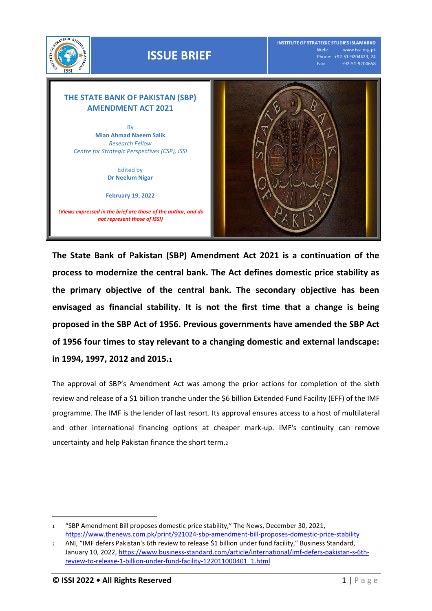

**The State Bank of Pakistan (SBP) Amendment Act 2021 is a continuation of the process to modernize the central bank. The Act defines domestic price stability as the primary objective of the central bank. The secondary objective has been envisaged as financial stability. It is not the first time that a change is being proposed in the SBP Act of 1956. Previous governments have amended the SBP Act of 1956 four times to stay relevant to a changing domestic and external landscape: in 1994, 1997, 2012 and 2015.<sup>1</sup>**

The approval of SBP's Amendment Act was among the prior actions for completion of the sixth review and release of a \$1 billion tranche under the \$6 billion Extended Fund Facility (EFF) of the IMF programme. The IMF is the lender of last resort. Its approval ensures access to a host of multilateral and other international financing options at cheaper mark-up. IMF's continuity can remove uncertainty and help Pakistan finance the short term.<sup>2</sup>

l

<sup>1</sup> "SBP Amendment Bill proposes domestic price stability," The News, December 30, 2021, <https://www.thenews.com.pk/print/921024-sbp-amendment-bill-proposes-domestic-price-stability>

<sup>2</sup> ANI, "IMF defers Pakistan's 6th review to release \$1 billion under fund facility," Business Standard, January 10, 2022[, https://www.business-standard.com/article/international/imf-defers-pakistan-s-6th](https://www.business-standard.com/article/international/imf-defers-pakistan-s-6th-review-to-release-1-billion-under-fund-facility-122011000401_1.html)[review-to-release-1-billion-under-fund-facility-122011000401\\_1.html](https://www.business-standard.com/article/international/imf-defers-pakistan-s-6th-review-to-release-1-billion-under-fund-facility-122011000401_1.html)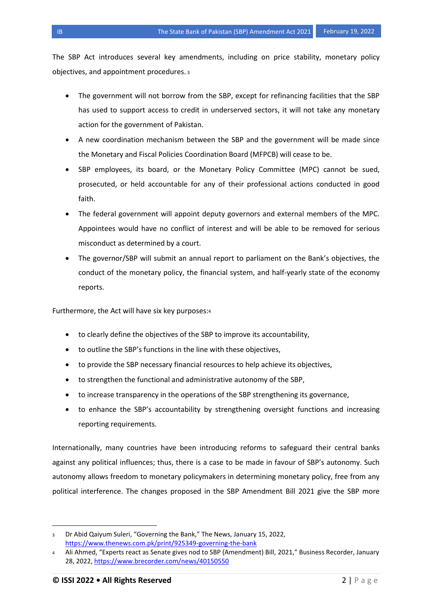The SBP Act introduces several key amendments, including on price stability, monetary policy objectives, and appointment procedures. <sup>3</sup>

- The government will not borrow from the SBP, except for refinancing facilities that the SBP has used to support access to credit in underserved sectors, it will not take any monetary action for the government of Pakistan.
- A new coordination mechanism between the SBP and the government will be made since the Monetary and Fiscal Policies Coordination Board (MFPCB) will cease to be.
- SBP employees, its board, or the Monetary Policy Committee (MPC) cannot be sued, prosecuted, or held accountable for any of their professional actions conducted in good faith.
- The federal government will appoint deputy governors and external members of the MPC. Appointees would have no conflict of interest and will be able to be removed for serious misconduct as determined by a court.
- The governor/SBP will submit an annual report to parliament on the Bank's objectives, the conduct of the monetary policy, the financial system, and half-yearly state of the economy reports.

Furthermore, the Act will have six key purposes:<sup>4</sup>

- to clearly define the objectives of the SBP to improve its accountability,
- to outline the SBP's functions in the line with these objectives,
- to provide the SBP necessary financial resources to help achieve its objectives,
- to strengthen the functional and administrative autonomy of the SBP,
- to increase transparency in the operations of the SBP strengthening its governance,
- to enhance the SBP's accountability by strengthening oversight functions and increasing reporting requirements.

Internationally, many countries have been introducing reforms to safeguard their central banks against any political influences; thus, there is a case to be made in favour of SBP's autonomy. Such autonomy allows freedom to monetary policymakers in determining monetary policy, free from any political interference. The changes proposed in the SBP Amendment Bill 2021 give the SBP more

 $\overline{a}$ 

<sup>3</sup> Dr Abid Qaiyum Suleri, "Governing the Bank," The News, January 15, 2022, <https://www.thenews.com.pk/print/925349-governing-the-bank>

<sup>4</sup> Ali Ahmed, "Experts react as Senate gives nod to SBP (Amendment) Bill, 2021," Business Recorder, January 28, 2022,<https://www.brecorder.com/news/40150550>